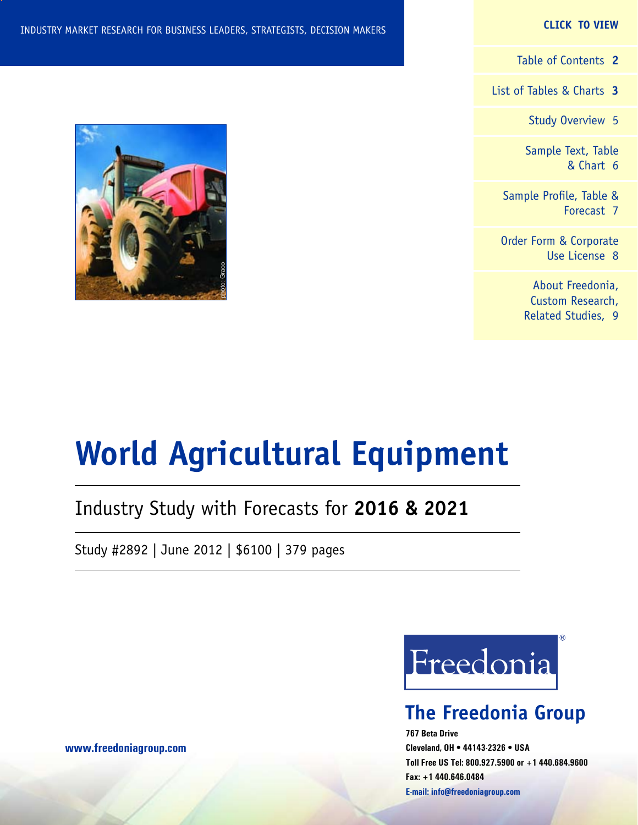#### **CLICK TO VIEW**

[Table of Contents](#page-1-0) **2**

[List of Tables & Charts](#page-2-0) **3**

[Study Overview](#page-4-0) 5

[Sample Text, Table](#page-5-0) [& Chart](#page-5-0) 6

[Sample Profile, Table &](#page-6-0) [Forecast](#page-6-0) 7

[Order Form & Corporate](#page-7-0) [Use License](#page-7-0) 8

> [About Freedonia,](#page-8-0) [Custom Research,](#page-8-0) [Related Studies,](#page-8-0) 9



# **World Agricultural Equipment**

# Industry Study with Forecasts for **2016 & 2021**

Study #2892 | June 2012 | \$6100 | 379 pages



# **The Freedonia Group**

**767 Beta Drive Cleveland, OH • 44143-2326 • USA Toll Free US Tel: 800.927.5900 or +1 440.684.9600 Fax: +1 440.646.0484 E-mail: [info@freedoniagroup.com](mailto:info@freedoniagroup.com)**

**[www.freedoniagroup.com](http://www.freedoniagroup.com/Home.aspx?ReferrerId=FM-Bro)**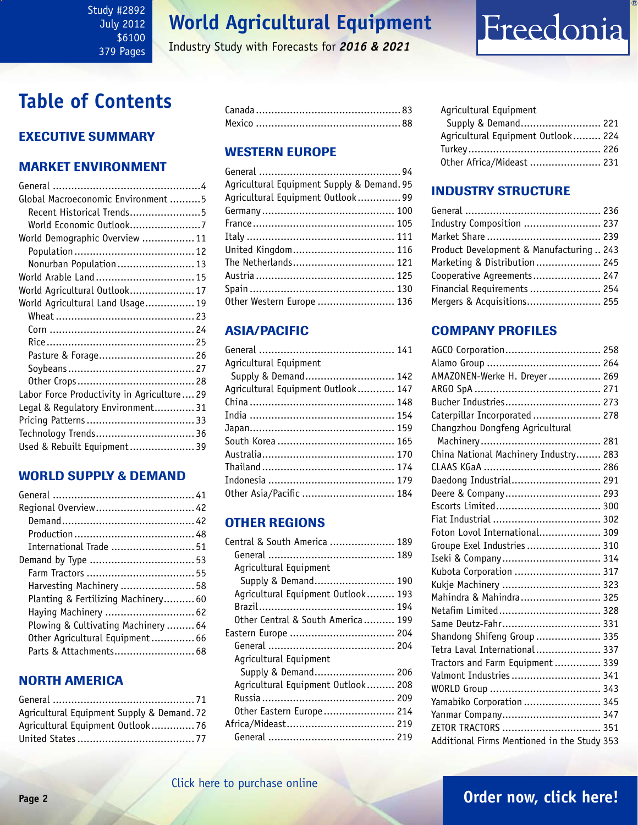#### <span id="page-1-0"></span>Study #2892 July 2012 \$6100 379 Pages

# **World Agricultural Equipment**

Industry Study with Forecasts for *2016 & 2021*

# Freedonia

# **Table of Contents**

# Executive Summary

### Market EnvironmenT

| Global Macroeconomic Environment 5        |  |
|-------------------------------------------|--|
| Recent Historical Trends5                 |  |
| World Economic Outlook7                   |  |
| World Demographic Overview  11            |  |
|                                           |  |
| Nonurban Population 13                    |  |
| World Arable Land  15                     |  |
| World Agricultural Outlook 17             |  |
| World Agricultural Land Usage 19          |  |
|                                           |  |
|                                           |  |
|                                           |  |
| Pasture & Forage 26                       |  |
|                                           |  |
|                                           |  |
| Labor Force Productivity in Agriculture29 |  |
| Legal & Regulatory Environment31          |  |
|                                           |  |
| Technology Trends 36                      |  |
| Used & Rebuilt Equipment 39               |  |

#### WORLD SUPPLY & DEMAND

| Regional Overview 42                |  |
|-------------------------------------|--|
|                                     |  |
|                                     |  |
| International Trade  51             |  |
|                                     |  |
|                                     |  |
| Harvesting Machinery  58            |  |
| Planting & Fertilizing Machinery 60 |  |
| Haying Machinery  62                |  |
| Plowing & Cultivating Machinery  64 |  |
| Other Agricultural Equipment 66     |  |
| Parts & Attachments 68              |  |

## NORTH AMERICA

| Agricultural Equipment Supply & Demand. 72 |  |
|--------------------------------------------|--|
| Agricultural Equipment Outlook 76          |  |
|                                            |  |

### WESTERN EUROPE

| Agricultural Equipment Supply & Demand. 95 |  |
|--------------------------------------------|--|
| Agricultural Equipment Outlook 99          |  |
|                                            |  |
|                                            |  |
|                                            |  |
| United Kingdom 116                         |  |
| The Netherlands 121                        |  |
|                                            |  |
|                                            |  |
| Other Western Europe  136                  |  |
|                                            |  |

# ASIA/PACIFIC

| Agricultural Equipment             |  |
|------------------------------------|--|
| Supply & Demand 142                |  |
| Agricultural Equipment Outlook 147 |  |
|                                    |  |
|                                    |  |
|                                    |  |
|                                    |  |
|                                    |  |
|                                    |  |
|                                    |  |
| Other Asia/Pacific  184            |  |

## OTHER REGIONS

| Central & South America  189       |  |
|------------------------------------|--|
|                                    |  |
| Agricultural Equipment             |  |
| Supply & Demand 190                |  |
| Agricultural Equipment Outlook 193 |  |
|                                    |  |
| Other Central & South America 199  |  |
| Eastern Europe  204                |  |
|                                    |  |
| Agricultural Equipment             |  |
| Supply & Demand 206                |  |
| Agricultural Equipment Outlook 208 |  |
|                                    |  |
| Other Eastern Europe 214           |  |
|                                    |  |
|                                    |  |

#### Agricultural Equipment

| Supply & Demand 221                |  |
|------------------------------------|--|
| Agricultural Equipment Outlook 224 |  |
|                                    |  |
| Other Africa/Mideast  231          |  |

## INDUSTRY STRUCTURE

| Industry Composition  237                |  |
|------------------------------------------|--|
|                                          |  |
| Product Development & Manufacturing  243 |  |
| Marketing & Distribution 245             |  |
| Cooperative Agreements 247               |  |
| Financial Requirements  254              |  |
| Mergers & Acquisitions 255               |  |

## Company Profiles

| AGCO Corporation 258                        |  |
|---------------------------------------------|--|
|                                             |  |
| AMAZONEN-Werke H. Dreyer  269               |  |
|                                             |  |
| Bucher Industries 273                       |  |
| Caterpillar Incorporated  278               |  |
| Changzhou Dongfeng Agricultural             |  |
|                                             |  |
| China National Machinery Industry 283       |  |
|                                             |  |
| Daedong Industrial 291                      |  |
| Deere & Company 293                         |  |
| Escorts Limited 300                         |  |
|                                             |  |
| Foton Lovol International 309               |  |
| Groupe Exel Industries  310                 |  |
| Iseki & Company 314                         |  |
| Kubota Corporation  317                     |  |
| Kukje Machinery  323                        |  |
| Mahindra & Mahindra 325                     |  |
| Netafim Limited 328                         |  |
| Same Deutz-Fahr 331                         |  |
| Shandong Shifeng Group  335                 |  |
| Tetra Laval International 337               |  |
| Tractors and Farm Equipment  339            |  |
| Valmont Industries  341                     |  |
|                                             |  |
| Yamabiko Corporation  345                   |  |
| Yanmar Company 347                          |  |
| ZETOR TRACTORS  351                         |  |
| Additional Firms Mentioned in the Study 353 |  |

# **Page 2 [Order now, click here!](#page-7-0)**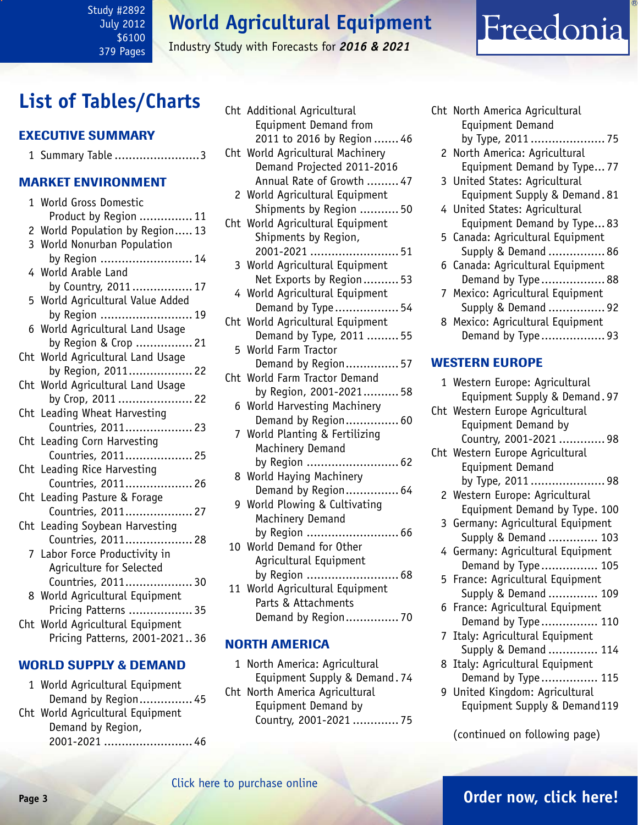July 2012 \$6100 379 Pages

<span id="page-2-0"></span>Study #2892

### Industry Study with Forecasts for *2016 & 2021*

# **List of Tables/Charts**

### Executive Summary

|  |  | 1 Summary Table 3 |  |
|--|--|-------------------|--|
|--|--|-------------------|--|

#### Market EnvironmenT

|                | 1 World Gross Domestic            |
|----------------|-----------------------------------|
|                | Product by Region  11             |
| $\overline{c}$ | World Population by Region 13     |
|                | 3 World Nonurban Population       |
|                | by Region  14                     |
|                | 4 World Arable Land               |
|                | by Country, 2011 17               |
| 5              | World Agricultural Value Added    |
|                | by Region  19                     |
| 6              | World Agricultural Land Usage     |
|                | by Region & Crop  21              |
|                | Cht World Agricultural Land Usage |
|                | by Region, 2011 22                |
|                | Cht World Agricultural Land Usage |
|                | by Crop, 2011  22                 |
|                | Cht Leading Wheat Harvesting      |
|                | Countries, 2011 23                |
|                | Cht Leading Corn Harvesting       |
|                | Countries, 2011 25                |
|                | Cht Leading Rice Harvesting       |
|                | Countries, 2011 26                |
|                | Cht Leading Pasture & Forage      |
|                | Countries, 2011 27                |
| Cht            | Leading Soybean Harvesting        |
|                | Countries, 2011 28                |
|                | 7 Labor Force Productivity in     |
|                | Agriculture for Selected          |
|                | Countries, 2011 30                |
|                | 8 World Agricultural Equipment    |
|                | Pricing Patterns  35              |
|                | Cht World Agricultural Equipment  |
|                | Pricing Patterns, 2001-202136     |
|                |                                   |

### WORLD SUPPLY & DEMAND

1 World Agricultural Equipment Demand by Region............... 45 Cht World Agricultural Equipment Demand by Region,

2001-2021 ......................... 46

|     | Cht Additional Agricultural      |
|-----|----------------------------------|
|     | Equipment Demand from            |
|     | 2011 to 2016 by Region  46       |
|     | Cht World Agricultural Machinery |
|     | Demand Projected 2011-2016       |
|     | Annual Rate of Growth  47        |
|     | 2 World Agricultural Equipment   |
|     | Shipments by Region  50          |
|     | Cht World Agricultural Equipment |
|     | Shipments by Region,             |
|     |                                  |
|     | 3 World Agricultural Equipment   |
|     | Net Exports by Region 53         |
|     | 4 World Agricultural Equipment   |
|     | Demand by Type  54               |
| Cht | World Agricultural Equipment     |
|     | Demand by Type, 2011  55         |
|     | 5 World Farm Tractor             |
|     | Demand by Region 57              |
|     | Cht World Farm Tractor Demand    |
|     | by Region, 2001-2021 58          |
| 6   | World Harvesting Machinery       |
|     | Demand by Region 60              |
|     | 7 World Planting & Fertilizing   |
|     | Machinery Demand                 |
|     | by Region  62                    |
| 8   | World Haying Machinery           |
|     | Demand by Region 64              |
|     | 9 World Plowing & Cultivating    |
|     | Machinery Demand                 |
|     | by Region  66                    |
|     | 10 World Demand for Other        |
|     | Agricultural Equipment           |
|     | by Region  68                    |
|     | 11 World Agricultural Equipment  |
|     | Parts & Attachments              |
|     | Demand by Region 70              |

#### NORTH AMERICA

- 1 North America: Agricultural Equipment Supply & Demand. 74
- Cht North America Agricultural Equipment Demand by Country, 2001-2021 ............. 75
- Cht North America Agricultural Equipment Demand by Type, 2011 ..................... 75
	- 2 North America: Agricultural Equipment Demand by Type... 77

Freedonia

- 3 United States: Agricultural Equipment Supply & Demand. 81
- 4 United States: Agricultural Equipment Demand by Type... 83
- 5 Canada: Agricultural Equipment Supply & Demand ................ 86
- 6 Canada: Agricultural Equipment Demand by Type .................. 88
- 7 Mexico: Agricultural Equipment Supply & Demand ................ 92
- 8 Mexico: Agricultural Equipment Demand by Type .................. 93

#### WESTERN EUROPE

- 1 Western Europe: Agricultural Equipment Supply & Demand. 97 Cht Western Europe Agricultural Equipment Demand by Country, 2001-2021 ............. 98 Cht Western Europe Agricultural Equipment Demand by Type, 2011 ..................... 98 2 Western Europe: Agricultural Equipment Demand by Type. 100 3 Germany: Agricultural Equipment Supply & Demand .............. 103 4 Germany: Agricultural Equipment Demand by Type ................ 105
	- 5 France: Agricultural Equipment Supply & Demand .............. 109
	- 6 France: Agricultural Equipment
	- Demand by Type ................ 110
	- 7 Italy: Agricultural Equipment Supply & Demand .............. 114
	- 8 Italy: Agricultural Equipment Demand by Type ................ 115
	- 9 United Kingdom: Agricultural Equipment Supply & Demand119

(continued on following page)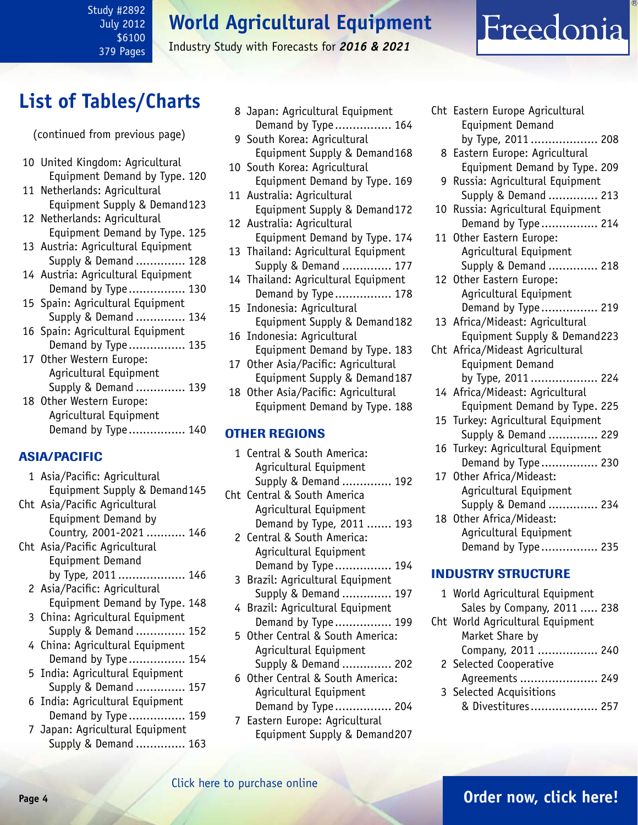#### Study #2892 July 2012 \$6100 379 Pages

# **World Agricultural Equipment**

Industry Study with Forecasts for *2016 & 2021*

# List of Tables/Charts<br>8 Japan: Agricultural Equipment

(continued from previous page)

- 10 United Kingdom: Agricultural Equipment Demand by Type. 120
- 11 Netherlands: Agricultural Equipment Supply & Demand123
- 12 Netherlands: Agricultural Equipment Demand by Type. 125
- 13 Austria: Agricultural Equipment Supply & Demand .............. 128
- 14 Austria: Agricultural Equipment Demand by Type ................ 130
- 15 Spain: Agricultural Equipment Supply & Demand .............. 134
- 16 Spain: Agricultural Equipment Demand by Type ................ 135
- 17 Other Western Europe: Agricultural Equipment Supply & Demand .............. 139
- 18 Other Western Europe: Agricultural Equipment Demand by Type ................ 140

## ASIA/PACIFIC

- 1 Asia/Pacific: Agricultural Equipment Supply & Demand145
- Cht Asia/Pacific Agricultural Equipment Demand by Country, 2001-2021 ........... 146 Cht Asia/Pacific Agricultural
- Equipment Demand by Type, 2011 ................... 146
- 2 Asia/Pacific: Agricultural Equipment Demand by Type. 148
- 3 China: Agricultural Equipment Supply & Demand .............. 152
- 4 China: Agricultural Equipment Demand by Type ................ 154
- 5 India: Agricultural Equipment Supply & Demand .............. 157
- 6 India: Agricultural Equipment Demand by Type ................ 159
- 7 Japan: Agricultural Equipment Supply & Demand .............. 163
- Demand by Type ................ 164
- 9 South Korea: Agricultural Equipment Supply & Demand168
- 10 South Korea: Agricultural Equipment Demand by Type. 169
- 11 Australia: Agricultural Equipment Supply & Demand172
- 12 Australia: Agricultural Equipment Demand by Type. 174
- 13 Thailand: Agricultural Equipment Supply & Demand .............. 177
- 14 Thailand: Agricultural Equipment Demand by Type ................ 178
- 15 Indonesia: Agricultural Equipment Supply & Demand182
- 16 Indonesia: Agricultural Equipment Demand by Type. 183
- 17 Other Asia/Pacific: Agricultural Equipment Supply & Demand187
- 18 Other Asia/Pacific: Agricultural Equipment Demand by Type. 188

# OTHER REGIONS

- 1 Central & South America: Agricultural Equipment Supply & Demand .............. 192
- Cht Central & South America Agricultural Equipment Demand by Type, 2011 ....... 193
	- 2 Central & South America: Agricultural Equipment Demand by Type ................ 194
	- 3 Brazil: Agricultural Equipment Supply & Demand .............. 197
	- 4 Brazil: Agricultural Equipment Demand by Type ................ 199
	- 5 Other Central & South America: Agricultural Equipment Supply & Demand .............. 202
	- 6 Other Central & South America: Agricultural Equipment Demand by Type ................ 204
	- 7 Eastern Europe: Agricultural Equipment Supply & Demand207
- Cht Eastern Europe Agricultural Equipment Demand by Type, 2011 ................... 208
	- 8 Eastern Europe: Agricultural Equipment Demand by Type. 209
	- 9 Russia: Agricultural Equipment Supply & Demand .............. 213
- 10 Russia: Agricultural Equipment Demand by Type ................ 214
- 11 Other Eastern Europe: Agricultural Equipment Supply & Demand .............. 218
- 12 Other Eastern Europe: Agricultural Equipment Demand by Type ................ 219
- 13 Africa/Mideast: Agricultural Equipment Supply & Demand223
- Cht Africa/Mideast Agricultural Equipment Demand by Type, 2011 ................... 224
- 14 Africa/Mideast: Agricultural Equipment Demand by Type. 225
- 15 Turkey: Agricultural Equipment Supply & Demand .............. 229
- 16 Turkey: Agricultural Equipment Demand by Type ................ 230
- 17 Other Africa/Mideast: Agricultural Equipment Supply & Demand .............. 234
- 18 Other Africa/Mideast: Agricultural Equipment Demand by Type ................ 235

## INDUSTRY STRUCTURE

1 World Agricultural Equipment Sales by Company, 2011 ..... 238 Cht World Agricultural Equipment Market Share by Company, 2011 ................. 240 2 Selected Cooperative Agreements ...................... 249 3 Selected Acquisitions & Divestitures................... 257

# **Page 4 [Order now, click here!](#page-7-0)**

Freedonia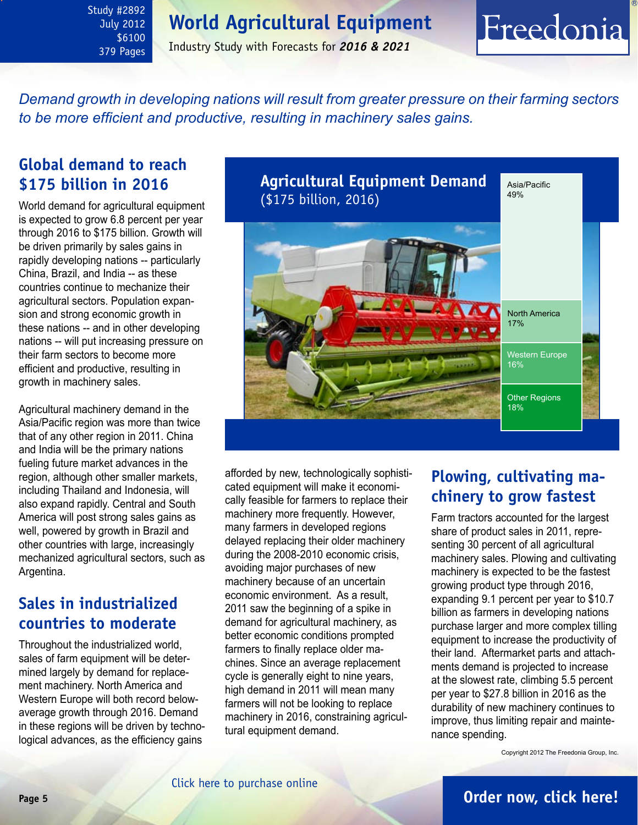<span id="page-4-0"></span>Study #2892 July 2012 \$6100 379 Pages

Industry Study with Forecasts for *2016 & 2021*

# Freedonia

*Demand growth in developing nations will result from greater pressure on their farming sectors to be more efficient and productive, resulting in machinery sales gains.*

# **Global demand to reach \$175 billion in 2016**

World demand for agricultural equipment is expected to grow 6.8 percent per year through 2016 to \$175 billion. Growth will be driven primarily by sales gains in rapidly developing nations -- particularly China, Brazil, and India -- as these countries continue to mechanize their agricultural sectors. Population expansion and strong economic growth in these nations -- and in other developing nations -- will put increasing pressure on their farm sectors to become more efficient and productive, resulting in growth in machinery sales.

Agricultural machinery demand in the Asia/Pacific region was more than twice that of any other region in 2011. China and India will be the primary nations fueling future market advances in the region, although other smaller markets, including Thailand and Indonesia, will also expand rapidly. Central and South America will post strong sales gains as well, powered by growth in Brazil and other countries with large, increasingly mechanized agricultural sectors, such as Argentina.

# **Sales in industrialized countries to moderate**

Throughout the industrialized world, sales of farm equipment will be determined largely by demand for replacement machinery. North America and Western Europe will both record belowaverage growth through 2016. Demand in these regions will be driven by technological advances, as the efficiency gains



afforded by new, technologically sophisticated equipment will make it economically feasible for farmers to replace their machinery more frequently. However, many farmers in developed regions delayed replacing their older machinery during the 2008-2010 economic crisis, avoiding major purchases of new machinery because of an uncertain economic environment. As a result, 2011 saw the beginning of a spike in demand for agricultural machinery, as better economic conditions prompted farmers to finally replace older machines. Since an average replacement cycle is generally eight to nine years, high demand in 2011 will mean many farmers will not be looking to replace machinery in 2016, constraining agricultural equipment demand.

# **Plowing, cultivating machinery to grow fastest**

Farm tractors accounted for the largest share of product sales in 2011, representing 30 percent of all agricultural machinery sales. Plowing and cultivating machinery is expected to be the fastest growing product type through 2016, expanding 9.1 percent per year to \$10.7 billion as farmers in developing nations purchase larger and more complex tilling equipment to increase the productivity of their land. Aftermarket parts and attachments demand is projected to increase at the slowest rate, climbing 5.5 percent per year to \$27.8 billion in 2016 as the durability of new machinery continues to improve, thus limiting repair and maintenance spending.

Copyright 2012 The Freedonia Group, Inc.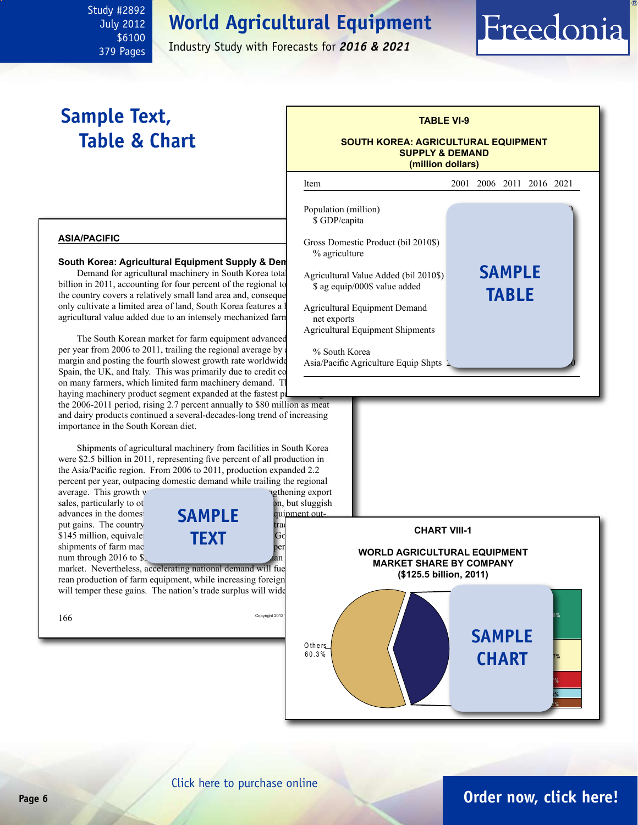July 2012 \$6100 379 Pages

<span id="page-5-0"></span>Study #2892

Industry Study with Forecasts for *2016 & 2021*

# **Sample Text, Table & Chart**

# **TABLE VI-9 SOUTH KOREA: AGRICULTURAL EQUIPMENT**

Freedonia

**SUPPLY & DEMAND (million dollars)**



[Click here to purchase online](http://www.freedoniagroup.com/DocumentDetails.aspx?Referrerid=FM-Bro&StudyID=2892)

# **Page 6 [Order now, click here!](#page-7-0)**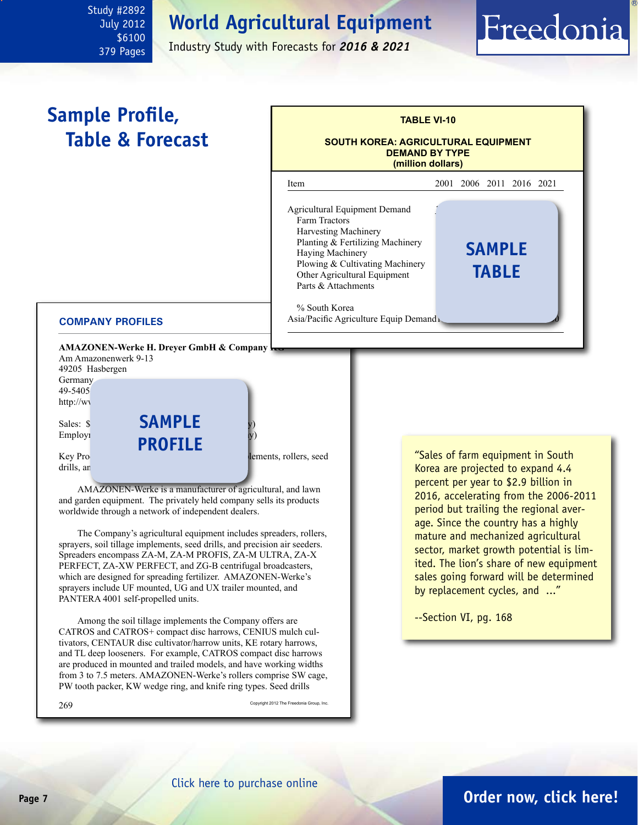July 2012 \$6100 379 Pages

<span id="page-6-0"></span>Study #2892

Industry Study with Forecasts for *2016 & 2021*

# **Sample Profile, Table & Forecast**



#### **COMPANY PROFILES**

**AMAZONEN-Werke H. Dreyer GmbH & Company!** 

Am Amazonenwerk 9-13 49205 Hasbergen **Germany** 49-5405 http://ww

Employ<sub>1</sub>

drills, an

Sales: \$**SAMPLE** by **profile**

Key Products: spreaders, spreaders, spreaders, spreaders, rollers, seed

AMAZONEN-Werke is a manufacturer of agricultural, and lawn and garden equipment. The privately held company sells its products worldwide through a network of independent dealers.

The Company's agricultural equipment includes spreaders, rollers, sprayers, soil tillage implements, seed drills, and precision air seeders. Spreaders encompass ZA-M, ZA-M PROFIS, ZA-M ULTRA, ZA-X PERFECT, ZA-XW PERFECT, and ZG-B centrifugal broadcasters, which are designed for spreading fertilizer. AMAZONEN-Werke's sprayers include UF mounted, UG and UX trailer mounted, and PANTERA 4001 self-propelled units.

Among the soil tillage implements the Company offers are CATROS and CATROS+ compact disc harrows, CENIUS mulch cultivators, CENTAUR disc cultivator/harrow units, KE rotary harrows, and TL deep looseners. For example, CATROS compact disc harrows are produced in mounted and trailed models, and have working widths from 3 to 7.5 meters. AMAZONEN-Werke's rollers comprise SW cage, PW tooth packer, KW wedge ring, and knife ring types. Seed drills

 $269\,$  Copyright 2012 The Freedonia Group, Inc.

"Sales of farm equipment in South Korea are projected to expand 4.4 percent per year to \$2.9 billion in 2016, accelerating from the 2006-2011 period but trailing the regional average. Since the country has a highly mature and mechanized agricultural sector, market growth potential is limited. The lion's share of new equipment sales going forward will be determined by replacement cycles, and ..."

Freedonia

--Section VI, pg. 168

# **Page 7 [Order now, click here!](#page-7-0)**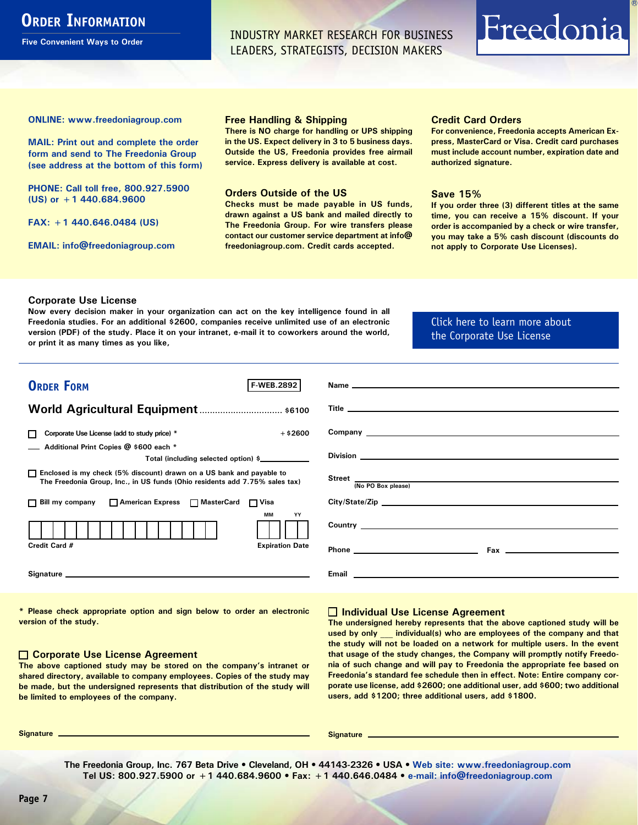# <span id="page-7-0"></span>**ORDER INFORMATION**

**Five Convenient Ways to Order**

INDUSTRY MARKET RESEARCH FOR BUSINESS LEADERS, STRATEGISTS, DECISION MAKERS

# Freedonia

**ONLINE: [www.freedoniagroup.com](http://www.freedoniagroup.com/DocumentDetails.aspx?Referrerid=FM-Bro&StudyID=2892)**

**MAIL: Print out and complete the order form and send to The Freedonia Group (see address at the bottom of this form)**

**PHONE: Call toll free, 800.927.5900 (US) or +1 440.684.9600**

**FAX: +1 440.646.0484 (US)**

**EMAIL: [info@freedoniagroup.com](mailto:info@freedoniagroup.com)**

#### **Free Handling & Shipping**

**There is NO charge for handling or UPS shipping in the US. Expect delivery in 3 to 5 business days. Outside the US, Freedonia provides free airmail service. Express delivery is available at cost.**

#### **Orders Outside of the US**

**Checks must be made payable in US funds, drawn against a US bank and mailed directly to The Freedonia Group. For wire transfers please contact our customer service department at info@ freedoniagroup.com. Credit cards accepted.**

#### **Credit Card Orders**

**For convenience, Freedonia accepts American Express, MasterCard or Visa. Credit card purchases must include account number, expiration date and authorized signature.**

#### **Save 15%**

**If you order three (3) different titles at the same time, you can receive a 15% discount. If your order is accompanied by a check or wire transfer, you may take a 5% cash discount (discounts do not apply to Corporate Use Licenses).**

#### **Corporate Use License**

**Now every decision maker in your organization can act on the key intelligence found in all Freedonia studies. For an additional \$2600, companies receive unlimited use of an electronic version (PDF) of the study. Place it on your intranet, e-mail it to coworkers around the world, or print it as many times as you like,** 

#### [Click here to learn more about](http://www.freedoniagroup.com/pdf/FreedoniaCULBro.pdf)  [the Corporate Use License](http://www.freedoniagroup.com/pdf/FreedoniaCULBro.pdf)

| <b>ORDER FORM</b><br><b>F-WEB.2892</b>                                                                                                                |                                  |
|-------------------------------------------------------------------------------------------------------------------------------------------------------|----------------------------------|
|                                                                                                                                                       |                                  |
|                                                                                                                                                       |                                  |
|                                                                                                                                                       |                                  |
| Corporate Use License (add to study price) *<br>$+$ \$2600<br>П                                                                                       |                                  |
| Additional Print Copies @ \$600 each *                                                                                                                |                                  |
| Total (including selected option) \$                                                                                                                  |                                  |
| □ Enclosed is my check (5% discount) drawn on a US bank and payable to<br>The Freedonia Group, Inc., in US funds (Ohio residents add 7.75% sales tax) | Street <u>(No PO Box please)</u> |
|                                                                                                                                                       |                                  |
| □ Bill my company □ American Express □ MasterCard □ Visa                                                                                              |                                  |
| <b>MM</b><br>YY                                                                                                                                       |                                  |
|                                                                                                                                                       |                                  |
| Credit Card #<br><b>Expiration Date</b>                                                                                                               |                                  |
|                                                                                                                                                       |                                  |
|                                                                                                                                                       |                                  |
|                                                                                                                                                       |                                  |

**\* Please check appropriate option and sign below to order an electronic version of the study.**

#### **Corporate Use License Agreement**

**The above captioned study may be stored on the company's intranet or shared directory, available to company employees. Copies of the study may be made, but the undersigned represents that distribution of the study will be limited to employees of the company.**

#### **Individual Use License Agreement**

**The undersigned hereby represents that the above captioned study will be used by only \_\_\_ individual(s) who are employees of the company and that the study will not be loaded on a network for multiple users. In the event that usage of the study changes, the Company will promptly notify Freedonia of such change and will pay to Freedonia the appropriate fee based on Freedonia's standard fee schedule then in effect. Note: Entire company corporate use license, add \$2600; one additional user, add \$600; two additional users, add \$1200; three additional users, add \$1800.**

**Signature Signature**

**The Freedonia Group, Inc. 767 Beta Drive • Cleveland, OH • 44143-2326 • USA • [Web site: www.freedoniagroup.com](http://www.freedoniagroup.com/Home.aspx?ReferrerId=FM-Bro) Tel US: 800.927.5900 or +1 440.684.9600 • Fax: +1 440.646.0484 • [e-mail: info@freedoniagroup.com](mailto:info@freedoniagroup.com)**